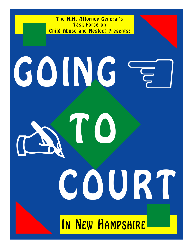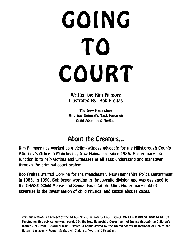# GOING TO COURT

Written by: Kim Fillmore Illustrated By: Bob Freitas

The New Hampshire Attorney General's Task Force on Child Abuse and Neglect

### About the Creators...

Kim Fillmore has worked as a victim/witness advocate for the Hillsborough County Attorney's Office in Manchester, New Hampshire since 1986. Her primary job function is to help victims and witnesses of all ages understand and maneuver through the criminal court system.

Bob Freitas started working for the Manchester, New Hampshire Police Department in 1985. In 1990, Bob began working in the juvenile division and was assigned to the CHASE (Child Abuse and Sexual Exploitation) Unit. His primary field of expertise is the investigation of child physical and sexual abouse cases.

This publication is a project of the ATTORNEY GENERAL'S TASK FORCE ON CHILD ABUSE AND NEGLECT. Funding for this publication was provided by the New Hampshire Department of Justice through the Children's Justice Act Grant (G-9401NHCJA1) which is administered by the United States Department of Health and Human Services – Administration on Children, Youth and Families.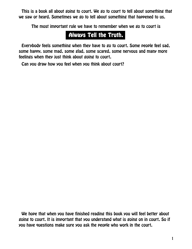This is a book all about going to court. We go to court to tell about something that we saw or heard. Sometimes we go to tell about something that happened to us.

The most important rule we have to remember when we go to court is

#### Always Tell the Truth.

Everybody feels something when they have to go to court. Some people feel sad, some happy, some mad, some glad, some scared, some nervous and many more feelings when they just think about going to court.

Can you draw how you feel when you think about court?

We hope that when you have finished reading this book you will feel better about going to court. It is important that you understand what is going on in court. So if you have questions make sure you ask the people who work in the court.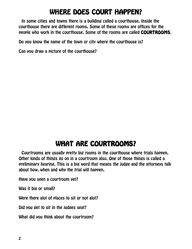# WHERE DOES COURT HAPPEN?

In some cities and towns there is a building called a courthouse. Inside the courthouse there are different rooms. Some of these rooms are offices for the people who work in the courthouse. Some of the rooms are called COURTROOMS.

Do you know the name of the town or city where the courthouse is?

Can you draw a picture of the courthouse?

## WHAT ARE COURTROOMS?

Courtrooms are usually pretty big rooms in the courthouse where trials happen. Other kinds of things go on in a courtroom also. One of those things is called a preliminary hearing. This is a big word that means the judge and the attorneys talk about how, when and why the trial will happen.

Have you seen a courtroom yet?

Was it big or small?

Were there alot of places to sit or not alot?

Did you get to sit in the judges seat?

What did you think about the courtroom?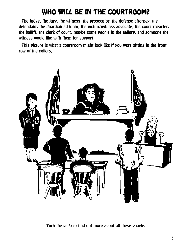# WHO WILL BE IN THE COURTROOM?

The judge, the jury, the witness, the prosecutor, the defense attorney, the defendant, the guardian ad litem, the victim/witness advocate, the court reporter, the bailiff, the clerk of court, maybe some people in the gallery, and someone the witness would like with them for support.

This picture is what a courtroom might look like if you were sitting in the front row of the gallery,



Turn the page to find out more about all these people.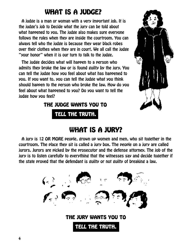# WHAT IS A JUDGE?

A judge is a man or woman with a very important job. It is the judge's job to Decide what the jury can be told about what happened to you. The judge also makes sure everyone follows the rules when they are inside the courtroom. You can always tell who the judge is because they wear black robes over their clothes when they are in court. We all call the judge "your honor" when it is our turn to talk to the judge.

The judge decides what will happen to a person who admits they broke the law or is found guilty by the jury. You can tell the judge how you feel about what has happened to you. If you want to, you can tell the judge what you think should happen to the person who broke the law. How do you feel about what happened to you? Do you want to tell the judge how you feel?

THE JUDGE WANTS YOU TO





# WHAT IS A JURY?

A jury is 12 OR MORE people, grown up women and men, who sit together in the courtroom. The place they sit is called a jury box. The people on a jury are called jurors. Jurors are picked by the prosecutor and the defense attorney. The job of the jury is to listen carefully to everything that the witnesses say and decide together if the state proved that the defendant is guilty or not guilty of breaking a law.

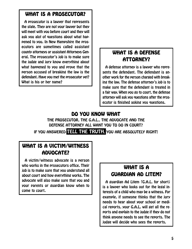#### WHAT IS A PROSECUTOR?

A prosecutor is a lawyer that represents the state. They are not your lawyer but they will meet with you before court and they will ask you alot of questions about what happened to you. In New Hampshire the prosecutors are sometimes called assistant county attorneys or assistant Attorneys General. The prosecutor's job is to make sure the judge and jury know everything about what happened to you and prove that the person accused of breaking the law is the defendant. Have you met the prosecutor yet? What is his or her name?

#### WHAT IS A DEFENSE ATTORNEY? ATTORNEY?

A defense attorney is a lawyer who represents the defendant. The defendant is another work for the person charged with breaking the law. The defense attorney's job is to make sure that the defendant is treated in a fair way. When you go to court, the defense attorney will ask you questions after the prosecutor is finished asking you questions.

#### DO YOU KNOW WHAT

THE PROSECUTOR, THE G.A.L., THE ADVOCATE AND THE DEFENSE ATTORNEY ALL WANT YOU TO DO IN COURT? IF YOU ANSWERED TELL THE TRUTH, YOU ARE ABSOLUTELY RIGHT!

#### WHAT IS A VICTIM/WITNESS ADVOCATE?

A victim/witness advocate is a person who works in the prosecutors office. Their job is to make sure that you understand all about court and how everything works. The advocate will also make sure that you and your parents or guardian know when to come to court.

#### WHAT IS A GUARDIAN AD LITEM?

A guardian Ad Litem (G.A.L. for short) is a lawyer who looks out for the legal interests of a child who may be a witness. For example, if someone thinks that the jury needs to hear about your school or medical reports, your G.A.L. will get all the reports and explain to the judge if they do not think anyone needs to see the reports. The judge will decide who sees the reports.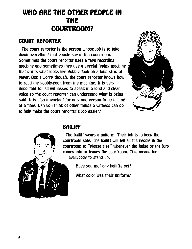# WHO ARE THE OTHER PEOPLE IN THE COURTROOM?

#### COURT REPORTER

The court reporter is the person whose job is to take down everything that people say in the courtroom. Sometimes the court reporter uses a tape recording machine and sometimes they use a special typing machine that prints what looks like gobbly-gook on a long strip of paper. Don't worry though, the court reporter knows how to read the gobbly-gook from the machine. It is very important for all witnesses to speak in a loud and clear voice so the court reporter can understand what is being said. It is also important for only one person to be talking at a time. Can you think of other things a witness can do to help make the court reporter's job easier?





#### BAILIFF

The bailiff wears a uniform. Their job is to keep the courtroom safe. The bailiff will tell all the people in the courtroom to "please rise" whenever the judge or the jury comes into or leaves the courtroom. This means for everybody to stand up.

Have you met any bailiffs yet?

What color was their uniform?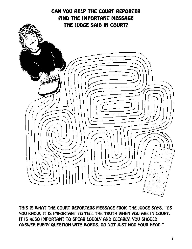

THIS IS WHAT THE COURT REPORTERS MESSAGE FROM THE JUDGE SAYS. "AS YOU KNOW, IT IS IMPORTANT TO TELL THE TRUTH WHEN YOU ARE IN COURT. IT IS ALSO IMPORTANT TO SPEAK LOUDLY AND CLEARLY. YOU SHOULD ANSWER EVERY QUESTION WITH WORDS. DO NOT JUST NOD YOUR HEAD."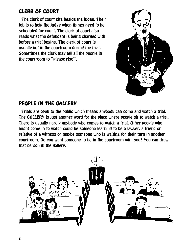#### **CLERK OF COURT**

The clerk of court sits beside the judge. Their job is to help the judge when things need to be scheduled for court. The clerk of court also reads what the defendant is being charged with before a trial begins. The clerk of court is usually not in the courtroom during the trial. Sometimes the clerk may tell all the people in the courtroom to "please rise".



#### PEOPLE IN THE GALLERY

Trials are open to the public which means anybody can come and watch a trial. The GALLERY is just another word for the place where people sit to watch a trial. There is usually hardly anybody who comes to watch a trial. Other people who might come in to watch could be someone learning to be a lawyer, a friend or relative of a witness or maybe someone who is waiting for their turn in another courtroom. Do you want someone to be in the courtroom with you? You can draw that person in the gallery.

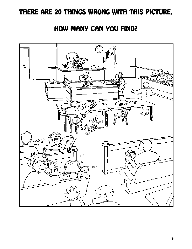## THERE ARE 20 THINGS WRONG WITH THIS PICTURE.

## HOW MANY CAN YOU FIND?

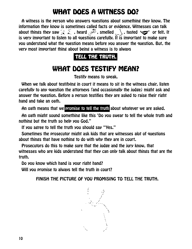# WHAT DOES A WITNESS DO?

A witness is the person who answers questions about something they know. The information they know is sometimes called facts or evidence. Witnesses can talk about things they saw  $\bar{x}$ , heard  $\bar{x}$ , smelled  $\Box$ , tasted  $\overline{\mathcal{L}}$  or felt. It is very important to listen to all questions carefully. It is important to make sure you understand what the question means before you answer the question. But, the very most important thing about being a witness is to always

#### TELL THE TRUTH.

# WHAT DOES TESTIFY MEAN?

Testify means to speak.

When we talk about testifying in court it means to sit in the witness chair, listen carefully to any question the attorneys (and occasionally the judge) might ask and answer the question. Before a person testifies they are asked to raise their right hand and take an oath.

An oath means that we promise to tell the truth about whatever we are asked.

An oath might sound something like this 'Do you swear to tell the whole truth and nothing but the truth so help you God."

If you agree to tell the truth you should say "Yes."

Sometimes the prosecutor might ask kids that are witnesses alot of questions about things that have nothing to do with why they are in court.

Prosecutors do this to make sure that the judge and the jury know, that witnesses who are kids understand that they can only talk about things that are the truth.

Do you know which hand is your right hand?

Will you promise to always tell the truth in court?

FINISH THE PICTURE OF YOU PROMISING TO TELL THE TRUTH.

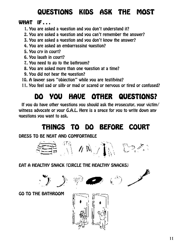# QUESTIONS KIDS ASK THE MOST

#### WHAT  $IF...$

- 1. You are asked a question and you don't understand it?
- 2. You are asked a question and you can't remember the answer?
- 3. You are asked a question and you don't know the answer?
- 4. You are asked an embarrassing question?
- 5. You cry in court?
- 6. You laugh in court?
- 7. You need to go to the bathroom?
- 8. You are asked more than one question at a time?
- 9. You did not hear the question?
- 10. A lawyer says "objection" while you are testifying?
- 11. You feel sad or silly or mad or scared or nervous or tired or confused?

# DO YOU HAVE OTHER QUESTIONS? DO YOU HAVE OTHER QUESTIONS? DO YOU HAVE OTHER QUESTIONS?

If you do have other questions you should ask the prosecutor, your victim/ witness advocate or your G.A.L. Here is a space for you to write down any questions you want to ask.

# THINGS TO DO BEFORE COURT

#### DRESS TO BE NEAT AND COMFORTABLE



EAT A HEALTHY SNACK (CIRCLE THE HEALTHY SNACKS)



GO TO THE BATHROOM

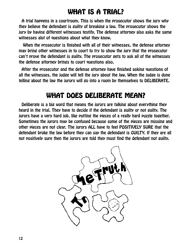# WHAT IS A TRIAL?

A trial happens in a courtroom. This is when the prosecutor shows the jury why they believe the defendant is guilty of breaking a law. The prosecutor shows the jury by having different witnesses testify. The defense attorney also asks the same witnesses alot of questions about what they know.

 When the prosecutor is finished with all of their witnesses, the defense attorney may bring other witnesses in to court to try to show the jury that the prosecutor can't prove the defendant is guilty. The prosecutor gets to ask all of the witnesses the defense attorney brings to court questions also.

After the prosecutor and the defense attorney have finished asking questions of all the witnesses, the judge will tell the jury about the law. When the judge is done telling about the law the jurors will go into a room by themselves to DELIBERATE.

# WHAT DOES DELIBERATE MEAN?

Deliberate is a big word that means the jurors are talking about everything they heard in the trial. They have to decide if the defendant is guilty or not guilty. The jurors have a very hard job, like putting the pieces of a really hard puzzle together. Sometimes the jurors may be confused because some of the pieces are missing and other pieces are not clear. The jurors ALL have to feel POSITIVELY SURE that the defendant broke the law before they can say the defendant is GUILTY. If they are all not positively sure then the jurors are told they must find the defendant not guilty.

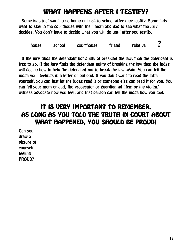# WHAT HAPPENS AFTER I TESTIFY?

Some kids just want to go home or back to school after they testify. Some kids want to stay in the courthouse with their mom and dad to see what the jury decides. You don't have to decide what you will do until after you testify.

house school courthouse friend relative ?

If the jury finds the defendant not guilty of breaking the law, then the defendant is free to go. If the jury finds the defendant guilty of breaking the law then the judge will decide how to help the defendant not to break the law again. You can tell the judge your feelings in a letter or outloud. If you don't want to read the letter yourself, you can just let the judge read it or someone else can read it for you. You can tell your mom or dad, the prosecutor or guardian ad litem or the victim/ witness advocate how you feel, and that person can tell the judge how you feel.

#### IT IS VERY IMPORTANT TO REMEMBER. AS LONG AS YOU TOLD THE TRUTH IN COURT ABOUT WHAT HAPPENED, YOU SHOULD BE PROUD!

Can you draw a picture of yourself feeling PROUD?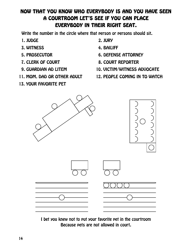#### NOW THAT YOU KNOW WHO EVERYBODY IS AND YOU HAVE SEEN NOW YOU KNOW WHO IS YOU SEEN A COURTROOM LET'S SEE IF YOU CAN PLACE EVERYBODY IN THEIR RIGHT SEAT.

Write the number in the circle where that person or persons should sit.

- 1. JUDGE 2. JURY
- 3. WITNESS 4. BAILIFF
- 
- 
- 
- 
- 13. YOUR FAVORITE PET
- 
- 
- 5. PROSECUTOR 6. DEFENSE ATTORNEY
- 7. CLERK OF COURT 8. COURT REPORTER
- 9. GUARDIAN AD LITEM 10. VICTIM/WITNESS ADVOCATE
- 11. MOM, DAD OR OTHER ADULT 12. PEOPLE COMING IN TO WATCH



I bet you knew not to put your favorite pet in the courtroom Because pets are not allowed in court.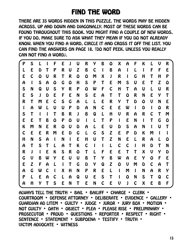# FIND THE WORD

THERE ARE 35 WORDS HIDDEN IN THIS PUZZLE. THE WORDS MAY BE HIDDEN ACROSS, UP AND DOWN AND DIAGONALLY. MOST OF THESE WORDS CAN BE FOUND THROUGHOUT THIS BOOK. YOU MIGHT FIND A COUPLE OF NEW WORDS, IF YOU DO, MAKE SURE TO ASK WHAT THEY MEAN IF YOU DO NOT ALREADY KNOW. WHEN YOU FIND A WORD, CIRCLE IT AND CROSS IT OFF THE LIST. YOU CAN FIND THE ANSWERS ON PAGE 18. (DO NOT PEEK, UNLESS YOU REALLY CAN NOT FIND A WORD).

| P                         | S      |   |   | F | E | J           | U | R                         | Y           | B           | ٥ | X           | A           | F           | K           | L           | U | R |
|---------------------------|--------|---|---|---|---|-------------|---|---------------------------|-------------|-------------|---|-------------|-------------|-------------|-------------|-------------|---|---|
| L                         | E      | D | T | P | R | U           | Z | B                         | C           | $\mathbf I$ | B | A           | L           | L           | l           | F           | F | E |
| E                         | C      | ٥ | U | R | T | R           | ٥ | ٥                         | M           | X           | J | R           | $\mathbf I$ | G           | H           | T           | H | P |
| A                         | ſ      | S | A | ٥ | G | ٥           | H | S                         | P           | T           | E | M           | S           | U           | E           | T           | Z | ٥ |
| S                         | N      | Q | U | S | Y | R           | P | ٥                         | W           | F           | C | H           | T           | A           | U           | L           | U | R |
| E                         | S      | J | D | E | F | E           | N | S                         | E           | A           | T | T           | ٥           | R           | N           | E           | Y | T |
| R                         | T      | M | E | С | S | G           | A | L                         | L           | E           | R | Y           | T           | D           | ٥           | V           | N | E |
| l                         | A      | W | L | U | U | P           | D | A                         | N           | C           | E | E           | W           | $\mathbf I$ | D           | $\mathbf I$ | ٥ | R |
| S                         | $\tau$ |   | I | T | B | R           | J | B                         | Q           | L           | H | V           | R           | A           | R           | C           | T | M |
| E                         | E      | T | B | ٥ | P | ٥           | U | $\mathbf I$               | L           | $\tau$      | P | $\mathbf I$ | E           | N           | $\mathbf I$ | $\tau$      | G | ۵ |
| K                         | M      | N | E | R | ٥ | U           | D | A                         | L           | E           | U | D           | S           | A           | N           | l           | U | T |
| C                         | E      | E | R | M | E | D           | G | L                         | G           | S           | Z | E           | P           | D           | K           | M           | l |   |
| $\boldsymbol{\mathsf{H}}$ | N      | S | A | I | N | $\mathbf I$ | E | $\boldsymbol{\mathsf{H}}$ | $\mathbf U$ | T           | Z | N           | E           | L           | R           | A           | L | O |
| A                         | T      | S | T | L | A | T           | K | C                         | l           | l           | L | C           | C           | l           | H           | D           | T | N |
| R                         | J      | ſ | E | K | S | R           | ٥ | T                         | L           | F           | E | E           | T           | T           | X           | U           | Y | D |
| G                         | V      | Β | W | Y | E | U           | U | B                         | T           | Y           | B | W           | A           | E           | Y           | ٥           | F | E |
| E                         | Z      | F | A | L | ſ | T           | G | D                         | Y           | Q           | Z | ٥           | V           | M           | D           | C           | A | T |
| A                         | G      | W | C | I | X | H           | N | P                         | R           | E           | L | ſ           | M           | $\mathbf I$ | N           | A           | R | Y |
| P                         | L      | E | A | С | L | A           | Q | U                         | E           | S           | T | I           | ٥           | N           | S           | T           | Q | С |
| A                         | H      | Y | T | S | E | N           | T | E                         | N           | C           | E | $\bf{U}$    | J           | C           | X           | E           | B | F |
|                           |        |   |   |   |   |             |   |                           |             |             |   |             |             |             |             |             |   |   |

ALWAYS TELL THE TRUTH • BAIL • BAILIFF • CHARGE • CLERK •<br>COURTROOM • DEFENSE ATTORNEY • DELIBERATE • EVIDENCE • GALLERY •<br>GUARDIAN AD LITEM • GUILTY • JUDGE • JUROR • JURY BOX • MOTION •<br>NOT GUILTY • OATH • OBJECT • PLEA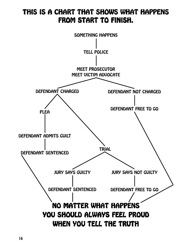## THIS IS A CHART THAT SHOWS WHAT HAPPENS FROM START TO FINISH.

![](_page_17_Figure_1.jpeg)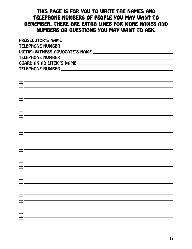#### THIS PAGE IS FOR YOU TO WRITE THE NAMES AND TELEPHONE NUMBERS OF PEOPLE YOU MAY WANT TO REMEMBER. THERE ARE EXTRA LINES FOR MORE NAMES AND NUMBERS OR QUESTIONS YOU MAY WANT TO ASK.

| PROSECUTOR'S NAME THE CONTROL OF THE CONTROL OF THE CONTROL OF THE CONTROL OF THE CONTROL OF THE CONTROL OF THE CONTROL OF THE CONTROL OF THE CONTROL OF THE CONTROL OF THE CONTROL OF THE CONTROL OF THE CONTROL OF THE CONTR |  |  |  |  |  |
|--------------------------------------------------------------------------------------------------------------------------------------------------------------------------------------------------------------------------------|--|--|--|--|--|
|                                                                                                                                                                                                                                |  |  |  |  |  |
|                                                                                                                                                                                                                                |  |  |  |  |  |
|                                                                                                                                                                                                                                |  |  |  |  |  |
|                                                                                                                                                                                                                                |  |  |  |  |  |
|                                                                                                                                                                                                                                |  |  |  |  |  |
|                                                                                                                                                                                                                                |  |  |  |  |  |
|                                                                                                                                                                                                                                |  |  |  |  |  |
|                                                                                                                                                                                                                                |  |  |  |  |  |
|                                                                                                                                                                                                                                |  |  |  |  |  |
|                                                                                                                                                                                                                                |  |  |  |  |  |
|                                                                                                                                                                                                                                |  |  |  |  |  |
|                                                                                                                                                                                                                                |  |  |  |  |  |
|                                                                                                                                                                                                                                |  |  |  |  |  |
|                                                                                                                                                                                                                                |  |  |  |  |  |
|                                                                                                                                                                                                                                |  |  |  |  |  |
|                                                                                                                                                                                                                                |  |  |  |  |  |
|                                                                                                                                                                                                                                |  |  |  |  |  |
|                                                                                                                                                                                                                                |  |  |  |  |  |
|                                                                                                                                                                                                                                |  |  |  |  |  |
|                                                                                                                                                                                                                                |  |  |  |  |  |
|                                                                                                                                                                                                                                |  |  |  |  |  |
|                                                                                                                                                                                                                                |  |  |  |  |  |
|                                                                                                                                                                                                                                |  |  |  |  |  |
|                                                                                                                                                                                                                                |  |  |  |  |  |
|                                                                                                                                                                                                                                |  |  |  |  |  |
|                                                                                                                                                                                                                                |  |  |  |  |  |
|                                                                                                                                                                                                                                |  |  |  |  |  |
|                                                                                                                                                                                                                                |  |  |  |  |  |
|                                                                                                                                                                                                                                |  |  |  |  |  |
|                                                                                                                                                                                                                                |  |  |  |  |  |
|                                                                                                                                                                                                                                |  |  |  |  |  |
|                                                                                                                                                                                                                                |  |  |  |  |  |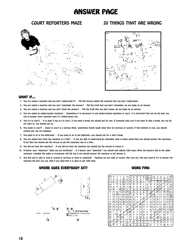### **ANSWER PAGE**

![](_page_19_Picture_2.jpeg)

#### COURT REPORTERS MAZE 20 THINGS THAT ARE WRONG

![](_page_19_Picture_4.jpeg)

#### WHAT IF...

- 1. You are asked a question and you don't understand it? Tell the person asking the question that you don't understand.
- 2. You are asked a question and you can't remember the answer? Tell the truth that you don't remember, do not make up an answer.
- 3. You are asked a question and you don't know the answer? Tell the truth that you don't know, do not make up an answer.
- 4. You are asked an embarrassing question? Sometimes it is necessary to ask embarrassing questions in court, it is important that you do the best you can to answer every question even if it embarrasses you.
- 5. You cry in court? It is okay if you cry in court, if you need a break you should ask for one. If someone asks you if you want to take a break, but you do not want to, you should say so.
- 6. You laugh in court? Going to court is a serious thing, sometimes people laugh when they are nervous or scared. If this happens to you, you should explain why you are laughing.
- 7. You need to go to the bathroom? If you need to go to the bathroom, you should ask for a short break.
- 8. You are asked more than one question at a time? If you are able to understand & remember what is being asked then you should answer the questions. If not then you should ask the person to ask the questions one at a time.
- 9. You did not hear the question? If you did not hear the question you should ask the person to repeat it.
- 10. A lawyer says "objection" while you are testifying? If a lawyer says "objection" you should stop talking right away. After the lawyers talk to the judge someone, probably the judge or prosecutor will tell you if you should answer the question or not answer it.
- 11. You feel sad or silly or mad or scared or nervous or tired or confused? Feelings are not right or wrong, they just are. You just need to try to answer the question the best you can. And if you need help it is okay to ask right then.

![](_page_19_Figure_17.jpeg)

![](_page_19_Picture_18.jpeg)

#### WHERE DOES EVERYBODY SIT? WORD FIND